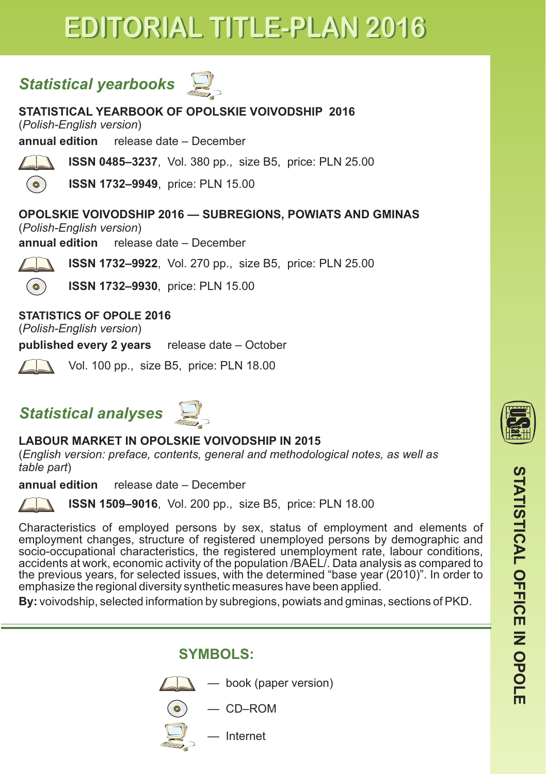## *Statistical yearbooks*

**STATISTICAL YEARBOOK OF OPOLSKIE VOIVODSHIP 2016**

(*Polish-English version*)

**annual edition** release date – December



**ISSN 0485–3237**, Vol. 380 pp., size B5, price: PLN 25.00

**ISSN 1732–9949**, price: PLN 15.00

**OPOLSKIE VOIVODSHIP 2016 — SUBREGIONS, POWIATS AND GMINAS**

(*Polish-English version*)

**annual edition** release date – December



**ISSN 1732–9922**, Vol. 270 pp., size B5, price: PLN 25.00

**ISSN 1732–9930**, price: PLN 15.00

**STATISTICS OF OPOLE 2016**

(*Polish-English version*)

**published every 2 years** release date – October

Vol. 100 pp., size B5, price: PLN 18.00

## *Statistical analyses*



### **LABOUR MARKET IN OPOLSKIE VOIVODSHIP IN 2015**

(*English version: preface, contents, general and methodological notes, as well as table part*)

**annual edition** release date – December

**ISSN 1509–9016**, Vol. 200 pp., size B5, price: PLN 18.00

Characteristics of employed persons by sex, status of employment and elements of employment changes, structure of registered unemployed persons by demographic and socio-occupational characteristics, the registered unemployment rate, labour conditions, accidents at work, economic activity of the population /BAEL/. Data analysis as compared to the previous years, for selected issues, with the determined "base year (2010)". In order to emphasize the regional diversity synthetic measures have been applied.

**By:** voivodship, selected information by subregions, powiats and gminas, sections of PKD.

**SYMBOLS:**



 $\lambda$  — book (paper version)

$$
) \quad - \text{CD–ROM}
$$

 $\mathbb{Z}$  — Internet



<u>ርስ</u>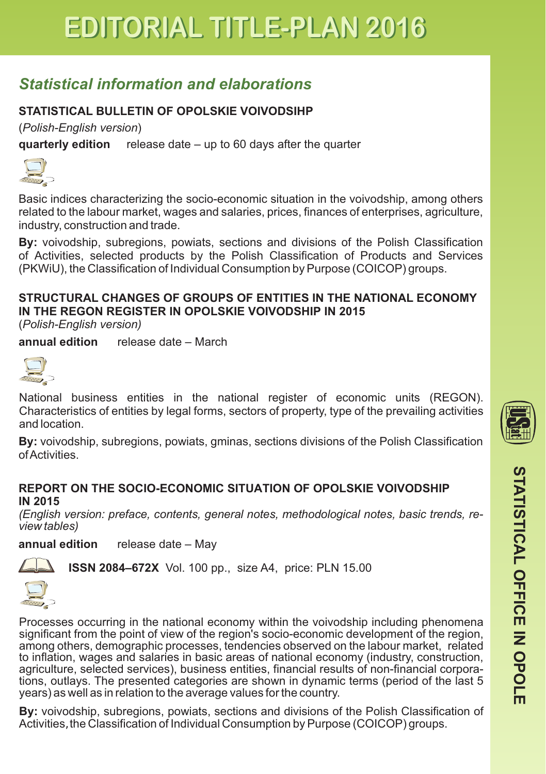## *Statistical information and elaborations*

### **STATISTICAL BULLETIN OF OPOLSKIE VOIVODSIHP**

(*Polish-English version*)

**quarterly edition** release date – up to 60 days after the quarter



Basic indices characterizing the socio-economic situation in the voivodship, among others related to the labour market, wages and salaries, prices, finances of enterprises, agriculture, industry, construction and trade.

**By:** voivodship, subregions, powiats, sections and divisions of the Polish Classification of Activities, selected products by the Polish Classification of Products and Services (PKWiU), the Classification of Individual Consumption by Purpose (COICOP) groups.

### **STRUCTURAL CHANGES OF GROUPS OF ENTITIES IN THE NATIONAL ECONOMY IN THE REGON REGISTER IN OPOLSKIE VOIVODSHIP IN 2015**

(*Polish-English version)*

**annual edition** release date – March



National business entities in the national register of economic units (REGON). Characteristics of entities by legal forms, sectors of property, type of the prevailing activities and location.

**By:** voivodship, subregions, powiats, gminas, sections divisions of the Polish Classification of Activities.

#### **REPORT ON THE SOCIO-ECONOMIC SITUATION OF OPOLSKIE VOIVODSHIP IN 2015**

*(English version: preface, contents, general notes, methodological notes, basic trends, review tables)*

**annual edition** release date – May



**ISSN 2084–672X** Vol. 100 pp., size A4, price: PLN 15.00



Processes occurring in the national economy within the voivodship including phenomena significant from the point of view of the region's socio-economic development of the region, among others, demographic processes, tendencies observed on the labour market, related to inflation, wages and salaries in basic areas of national economy (industry, construction, agriculture, selected services), business entities, financial results of non-financial corporations, outlays. The presented categories are shown in dynamic terms (period of the last 5 years) as well as in relation to the average values for the country.

**By:** voivodship, subregions, powiats, sections and divisions of the Polish Classification of Activities, the Classification of Individual Consumption by Purpose (COICOP) groups.

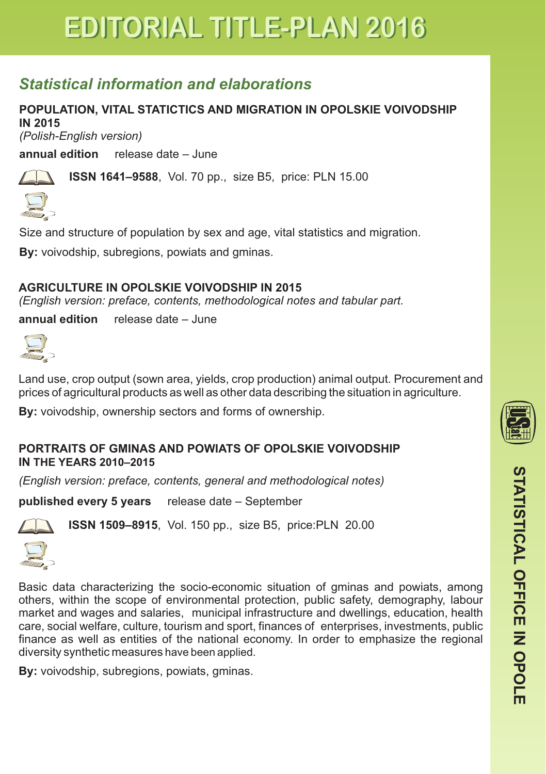## *Statistical information and elaborations*

### **POPULATION, VITAL STATICTICS AND MIGRATION IN OPOLSKIE VOIVODSHIP IN 2015**

*(Polish-English version)*

**annual edition** release date – June



**ISSN 1641–9588**, Vol. 70 pp., size B5, price: PLN 15.00



Size and structure of population by sex and age, vital statistics and migration.

**By:** voivodship, subregions, powiats and gminas.

### **2015 AGRICULTURE IN OPOLSKIE VOIVODSHIP IN**

*( English version: preface, contents, methodological notes and tabular part.*

**annual edition** release date – June

Land use, crop output (sown area, yields, crop production) animal output. Procurement and prices of agricultural products as well as other data describing the situation in agriculture.

**By:** voivodship, ownership sectors and forms of ownership.

#### **PORTRAITS OF GMINAS AND POWIATS OF OPOLSKIE VOIVODSHIP IN THE YEARS 2010–2015**

*(English version: preface, contents, general and methodological notes)*

**published every 5 years** release date – September



**ISSN 1509–8915**, Vol. 150 pp., size B5, price:PLN 20.00



Basic data characterizing the socio-economic situation of gminas and powiats, among others, within the scope of environmental protection, public safety, demography, labour market and wages and salaries, municipal infrastructure and dwellings, education, health care, social welfare, culture, tourism and sport, finances of enterprises, investments, public finance as well as entities of the national economy. In order to emphasize the regional diversity synthetic measures have been applied.

**By:** voivodship, subregions, powiats, gminas.



<u>ርስ</u>